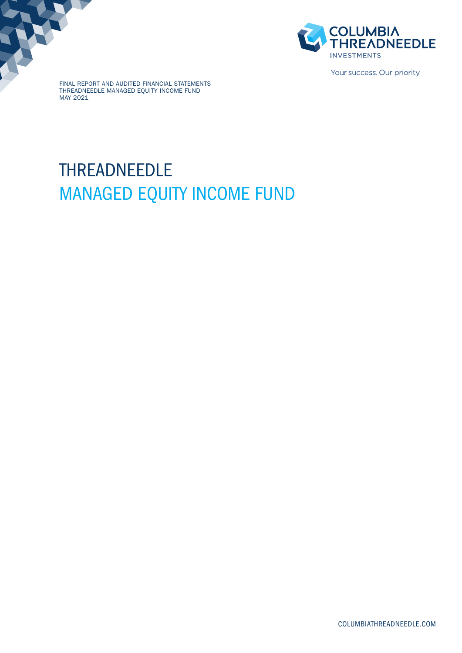

Your success. Our priority.

FINAL REPORT AND AUDITED FINANCIAL STATEMENTS THREADNEEDLE MANAGED EQUITY INCOME FUND MAY 2021

# THREADNEEDLE MANAGED EQUITY INCOME FUND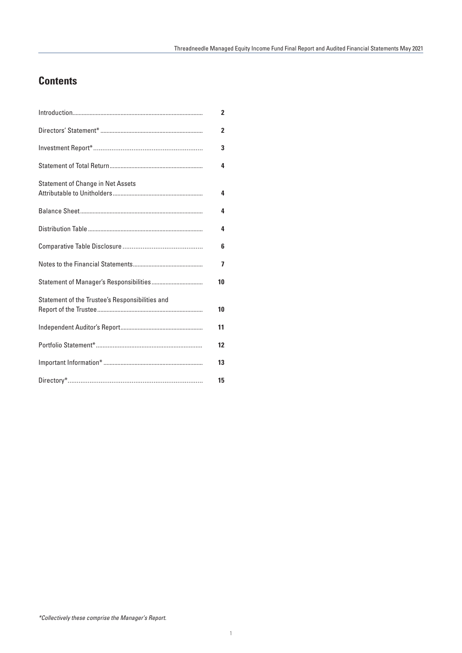# **Contents**

|                                                 | 2              |
|-------------------------------------------------|----------------|
|                                                 | $\overline{2}$ |
|                                                 | 3              |
|                                                 | 4              |
| <b>Statement of Change in Net Assets</b>        | 4              |
|                                                 | 4              |
|                                                 | 4              |
|                                                 | 6              |
|                                                 | 7              |
|                                                 | 10             |
| Statement of the Trustee's Responsibilities and | 10             |
|                                                 | 11             |
|                                                 | 12             |
|                                                 | 13             |
|                                                 | 15             |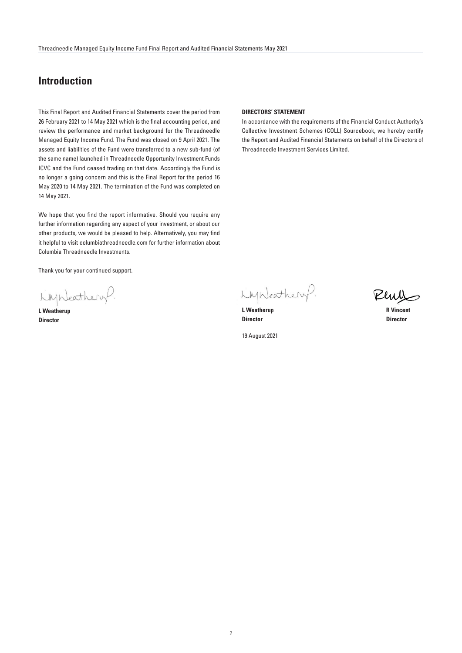# **Introduction**

This Final Report and Audited Financial Statements cover the period from 26 February 2021 to 14 May 2021 which is the final accounting period, and review the performance and market background for the Threadneedle Managed Equity Income Fund. The Fund was closed on 9 April 2021. The assets and liabilities of the Fund were transferred to a new sub-fund (of the same name) launched in Threadneedle Opportunity Investment Funds ICVC and the Fund ceased trading on that date. Accordingly the Fund is no longer a going concern and this is the Final Report for the period 16 May 2020 to 14 May 2021. The termination of the Fund was completed on 14 May 2021.

We hope that you find the report informative. Should you require any further information regarding any aspect of your investment, or about our other products, we would be pleased to help. Alternatively, you may find it helpful to visit columbiathreadneedle.com for further information about Columbia Threadneedle Investments.

Thank you for your continued support.

Lynkathery.

**L Weatherup Director**

# **DIRECTORS' STATEMENT**

In accordance with the requirements of the Financial Conduct Authority's Collective Investment Schemes (COLL) Sourcebook, we hereby certify the Report and Audited Financial Statements on behalf of the Directors of Threadneedle Investment Services Limited.

LMNeathery.

**L** Weatherup **R** Vincent **Director Director**

19 August 2021

Peus

2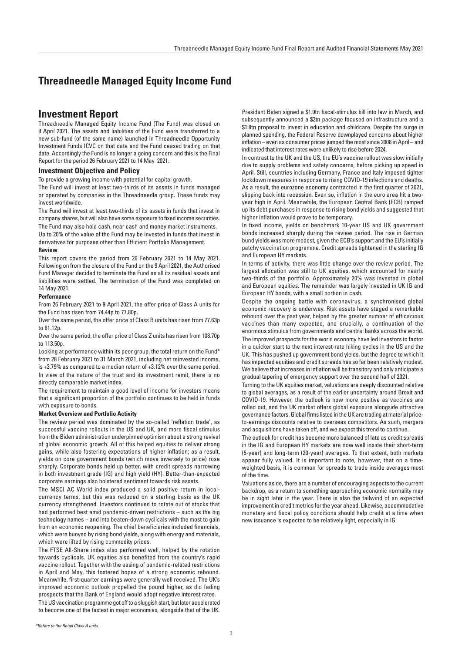# **Investment Report**

Threadneedle Managed Equity Income Fund (The Fund) was closed on 9 April 2021. The assets and liabilities of the Fund were transferred to a new sub-fund (of the same name) launched in Threadneedle Opportunity Investment Funds ICVC on that date and the Fund ceased trading on that date. Accordingly the Fund is no longer a going concern and this is the Final Report for the period 26 February 2021 to 14 May 2021.

# **Investment Objective and Policy**

To provide a growing income with potential for capital growth.

The Fund will invest at least two-thirds of its assets in funds managed or operated by companies in the Threadneedle group. These funds may invest worldwide.

The Fund will invest at least two-thirds of its assets in funds that invest in company shares, but will also have some exposure to fixed income securities. The Fund may also hold cash, near cash and money market instruments.

Up to 20% of the value of the Fund may be invested in funds that invest in derivatives for purposes other than Efficient Portfolio Management.

# **Review**

This report covers the period from 26 February 2021 to 14 May 2021. Following on from the closure of the Fund on the 9 April 2021, the Authorised Fund Manager decided to terminate the Fund as all its residual assets and liabilities were settled. The termination of the Fund was completed on 14 May 2021.

# **Performance**

From 26 February 2021 to 9 April 2021, the offer price of Class A units for the Fund has risen from 74.44p to 77.80p.

Over the same period, the offer price of Class B units has risen from 77.63p to 81.12p.

Over the same period, the offer price of Class Z units has risen from 108.70p to 113.50p.

Looking at performance within its peer group, the total return on the Fund\* from 28 February 2021 to 31 March 2021, including net reinvested income, is +3.79% as compared to a median return of +3.12% over the same period. In view of the nature of the trust and its investment remit, there is no directly comparable market index.

The requirement to maintain a good level of income for investors means that a significant proportion of the portfolio continues to be held in funds with exposure to bonds.

# **Market Overview and Portfolio Activity**

The review period was dominated by the so-called 'reflation trade', as successful vaccine rollouts in the US and UK, and more fiscal stimulus from the Biden administration underpinned optimism about a strong revival of global economic growth. All of this helped equities to deliver strong gains, while also fostering expectations of higher inflation; as a result, yields on core government bonds (which move inversely to price) rose sharply. Corporate bonds held up better, with credit spreads narrowing in both investment grade (IG) and high yield (HY). Better-than-expected corporate earnings also bolstered sentiment towards risk assets.

The MSCI AC World index produced a solid positive return in localcurrency terms, but this was reduced on a sterling basis as the UK currency strengthened. Investors continued to rotate out of stocks that had performed best amid pandemic-driven restrictions – such as the big technology names – and into beaten-down cyclicals with the most to gain from an economic reopening. The chief beneficiaries included financials, which were buoyed by rising bond yields, along with energy and materials, which were lifted by rising commodity prices.

The FTSE All-Share index also performed well, helped by the rotation towards cyclicals. UK equities also benefited from the country's rapid vaccine rollout. Together with the easing of pandemic-related restrictions in April and May, this fostered hopes of a strong economic rebound. Meanwhile, first-quarter earnings were generally well received. The UK's improved economic outlook propelled the pound higher, as did fading prospects that the Bank of England would adopt negative interest rates.

The US vaccination programme got off to a sluggish start, but later accelerated to become one of the fastest in major economies, alongside that of the UK.

President Biden signed a \$1.9tn fiscal-stimulus bill into law in March, and subsequently announced a \$2tn package focused on infrastructure and a \$1.8tn proposal to invest in education and childcare. Despite the surge in planned spending, the Federal Reserve downplayed concerns about higher inflation – even as consumer prices jumped the most since 2008 in April – and indicated that interest rates were unlikely to rise before 2024.

In contrast to the UK and the US, the EU's vaccine rollout was slow initially due to supply problems and safety concerns, before picking up speed in April. Still, countries including Germany, France and Italy imposed tighter lockdown measures in response to rising COVID-19 infections and deaths. As a result, the eurozone economy contracted in the first quarter of 2021, slipping back into recession. Even so, inflation in the euro area hit a twoyear high in April. Meanwhile, the European Central Bank (ECB) ramped up its debt purchases in response to rising bond yields and suggested that higher inflation would prove to be temporary.

In fixed income, yields on benchmark 10-year US and UK government bonds increased sharply during the review period. The rise in German bund yields was more modest, given the ECB's support and the EU's initially patchy vaccination programme. Credit spreads tightened in the sterling IG and European HY markets.

In terms of activity, there was little change over the review period. The largest allocation was still to UK equities, which accounted for nearly two-thirds of the portfolio. Approximately 20% was invested in global and European equities. The remainder was largely invested in UK IG and European HY bonds, with a small portion in cash.

Despite the ongoing battle with coronavirus, a synchronised global economic recovery is underway. Risk assets have staged a remarkable rebound over the past year, helped by the greater number of efficacious vaccines than many expected, and crucially, a continuation of the enormous stimulus from governments and central banks across the world. The improved prospects for the world economy have led investors to factor in a quicker start to the next interest-rate hiking cycles in the US and the UK. This has pushed up government bond yields, but the degree to which it has impacted equities and credit spreads has so far been relatively modest. We believe that increases in inflation will be transitory and only anticipate a gradual tapering of emergency support over the second half of 2021.

Turning to the UK equities market, valuations are deeply discounted relative to global averages, as a result of the earlier uncertainty around Brexit and COVID-19. However, the outlook is now more positive as vaccines are rolled out, and the UK market offers global exposure alongside attractive governance factors. Global firms listed in the UK are trading at material priceto-earnings discounts relative to overseas competitors. As such, mergers and acquisitions have taken off, and we expect this trend to continue.

The outlook for credit has become more balanced of late as credit spreads in the IG and European HY markets are now well inside their short-term (5-year) and long-term (20-year) averages. To that extent, both markets appear fully valued. It is important to note, however, that on a timeweighted basis, it is common for spreads to trade inside averages most of the time.

Valuations aside, there are a number of encouraging aspects to the current backdrop, as a return to something approaching economic normality may be in sight later in the year. There is also the tailwind of an expected improvement in credit metrics for the year ahead. Likewise, accommodative monetary and fiscal policy conditions should help credit at a time when new issuance is expected to be relatively light, especially in IG.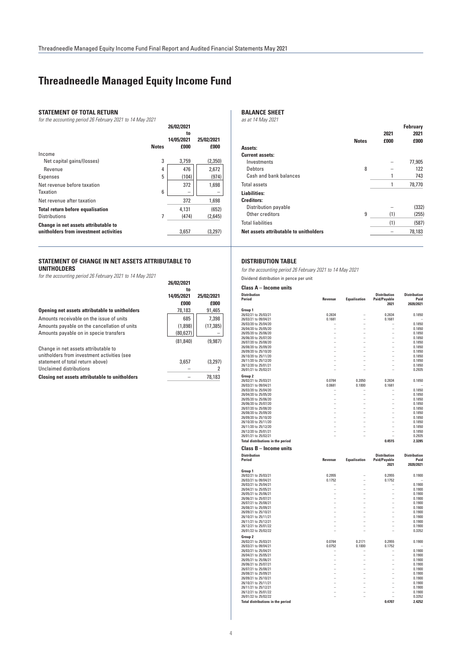**26/02/2021** 

**26/02/2021** 

# **Threadneedle Managed Equity Income Fund**

# **STATEMENT OF TOTAL RETURN**

*for the accounting period 26 February 2021 to 14 May 2021*

|                                                                                |              | ZU/UZ/ZUZ I<br>to<br>14/05/2021 | 25/02/2021 |
|--------------------------------------------------------------------------------|--------------|---------------------------------|------------|
|                                                                                | <b>Notes</b> | £000                            | £000       |
| Income                                                                         |              |                                 |            |
| Net capital gains/(losses)                                                     | 3            | 3.759                           | (2,350)    |
| Revenue                                                                        | 4            | 476                             | 2,672      |
| <b>Expenses</b>                                                                | 5            | (104)                           | (974)      |
| Net revenue before taxation                                                    |              | 372                             | 1,698      |
| Taxation                                                                       | 6            |                                 |            |
| Net revenue after taxation                                                     |              | 372                             | 1,698      |
| <b>Total return before equalisation</b>                                        |              | 4.131                           | (652)      |
| <b>Distributions</b>                                                           | 7            | (474)                           | (2,645)    |
| Change in net assets attributable to<br>unitholders from investment activities |              | 3,657                           | (3,297)    |

# **STATEMENT OF CHANGE IN NET ASSETS ATTRIBUTABLE TO UNITHOLDERS**

*for the accounting period 26 February 2021 to 14 May 2021*

|                                                                                     | to         |            |
|-------------------------------------------------------------------------------------|------------|------------|
|                                                                                     | 14/05/2021 | 25/02/2021 |
|                                                                                     | £000       | £000       |
| Opening net assets attributable to unitholders                                      | 78,183     | 91,465     |
| Amounts receivable on the issue of units                                            | 685        | 7,398      |
| Amounts payable on the cancellation of units                                        | (1,898)    | (17, 385)  |
| Amounts payable on in specie transfers                                              | (80, 627)  |            |
|                                                                                     | (81, 840)  | (9,987)    |
| Change in net assets attributable to<br>unitholders from investment activities (see |            |            |
| statement of total return above)                                                    | 3,657      | (3,297)    |
| Unclaimed distributions                                                             |            |            |

**Closing net assets attributable to unitholders** – 78,183

# **BALANCE SHEET**

*as at 14 May 2021*

|                                        |              |              | <b>February</b> |
|----------------------------------------|--------------|--------------|-----------------|
|                                        | <b>Notes</b> | 2021<br>£000 | 2021<br>£000    |
| Assets:                                |              |              |                 |
| <b>Current assets:</b>                 |              |              |                 |
| Investments                            |              |              | 77,905          |
| Debtors                                | 8            |              | 122             |
| Cash and bank balances                 |              |              | 743             |
| <b>Total assets</b>                    |              |              | 78,770          |
| <b>Liabilities:</b>                    |              |              |                 |
| <b>Creditors:</b>                      |              |              |                 |
| Distribution payable                   |              |              | (332)           |
| Other creditors                        | 9            | (1)          | (255)           |
| <b>Total liabilities</b>               |              | (1)          | (587)           |
| Net assets attributable to unitholders |              |              | 78,183          |
|                                        |              |              |                 |

# **DISTRIBUTION TABLE**

*for the accounting period 26 February 2021 to 14 May 2021*

Dividend distribution in pence per unit

**Class A – Income units**

| Glass A – Income units                                           |                      |                     |                                             |                                          |
|------------------------------------------------------------------|----------------------|---------------------|---------------------------------------------|------------------------------------------|
| <b>Distribution</b><br>Period                                    | Revenue              | <b>Equalisation</b> | <b>Distribution</b><br>Paid/Payable<br>2021 | <b>Distribution</b><br>Paid<br>2020/2021 |
| Group 1                                                          |                      |                     |                                             |                                          |
| 26/02/21 to 25/03/21                                             | 0.2834               |                     | 0.2834                                      | 0.1850                                   |
| 26/03/21 to 09/04/21                                             | 0.1681               | L.                  | 0.1681                                      |                                          |
| 26/03/20 to 25/04/20                                             |                      |                     |                                             | 0.1850                                   |
| 26/04/20 to 25/05/20                                             |                      | L,                  |                                             | 0.1850                                   |
| 26/05/20 to 25/06/20                                             |                      |                     |                                             | 0.1850                                   |
| 26/06/20 to 25/07/20                                             |                      | -                   |                                             | 0.1850                                   |
| 26/07/20 to 25/08/20                                             | -                    | L,                  | L                                           | 0.1850                                   |
| 26/08/20 to 25/09/20                                             |                      | -                   |                                             | 0.1850                                   |
| 26/09/20 to 25/10/20                                             | L.                   | L.                  | L,                                          | 0.1850                                   |
| 26/10/20 to 25/11/20                                             |                      |                     |                                             | 0.1850                                   |
| 26/11/20 to 25/12/20<br>26/12/20 to 25/01/21                     |                      |                     |                                             | 0.1850<br>0.1850                         |
|                                                                  |                      |                     |                                             | 0.2935                                   |
| 26/01/21 to 25/02/21                                             |                      |                     |                                             |                                          |
| Group 2                                                          |                      |                     |                                             |                                          |
| 26/02/21 to 25/03/21                                             | 0.0784               | 0.2050              | 0.2834                                      | 0.1850                                   |
| 26/03/21 to 09/04/21                                             | 0.0681               | 0.1000              | 0.1681                                      |                                          |
| 26/03/20 to 25/04/20                                             |                      |                     |                                             | 0.1850                                   |
| 26/04/20 to 25/05/20                                             |                      |                     |                                             | 0.1850                                   |
| 26/05/20 to 25/06/20                                             | L,                   | L,                  |                                             | 0.1850                                   |
| 26/06/20 to 25/07/20                                             | -                    | ÷                   |                                             | 0.1850                                   |
| 26/07/20 to 25/08/20                                             |                      | L,                  |                                             | 0.1850                                   |
| 26/08/20 to 25/09/20                                             | -                    | L,                  |                                             | 0.1850                                   |
| 26/09/20 to 25/10/20                                             |                      | -                   |                                             | 0.1850                                   |
| 26/10/20 to 25/11/20                                             |                      |                     |                                             | 0.1850                                   |
| 26/11/20 to 25/12/20                                             | L.                   | L.<br>۳             | L.                                          | 0.1850                                   |
| 26/12/20 to 25/01/21                                             |                      |                     |                                             | 0.1850<br>0.2935                         |
| 26/01/21 to 25/02/21                                             |                      |                     |                                             |                                          |
| <b>Total distributions in the period</b>                         |                      |                     | 0.4515                                      | 2.3285                                   |
| Class B – Income units                                           |                      |                     |                                             |                                          |
| <b>Distribution</b>                                              |                      |                     | <b>Distribution</b>                         | <b>Distribution</b>                      |
| Period                                                           | Revenue              | <b>Equalisation</b> | <b>Paid/Payable</b>                         | Paid                                     |
|                                                                  |                      |                     | 2021                                        | 2020/2021                                |
| Group 1                                                          |                      |                     |                                             |                                          |
| 26/02/21 to 25/03/21                                             | 0.2955               | ÷                   | 0.2955                                      | 0.1900                                   |
| 26/03/21 to 09/04/21                                             | 0.1752               |                     | 0.1752                                      |                                          |
| 26/03/21 to 25/04/21                                             |                      |                     |                                             | 0.1900                                   |
| 26/04/21 to 25/05/21                                             |                      | L                   |                                             | 0.1900                                   |
| 26/05/21 to 25/06/21                                             | -                    | -                   | -                                           | 0.1900                                   |
| 26/06/21 to 25/07/21                                             |                      | L                   |                                             | 0.1900                                   |
| 26/07/21 to 25/08/21                                             |                      | -                   |                                             | 0.1900                                   |
| 26/08/21 to 25/09/21                                             | Ĭ.                   | -                   |                                             | 0.1900                                   |
| 26/09/21 to 25/10/21                                             | $\overline{a}$       | L,                  | L                                           | 0.1900                                   |
| 26/10/21 to 25/11/21                                             |                      |                     |                                             | 0.1900                                   |
| 26/11/21 to 25/12/21                                             |                      |                     |                                             | 0.1900                                   |
| 26/12/21 to 25/01/22                                             | L.                   | L.                  | L.                                          | 0.1900                                   |
| 26/01/22 to 25/02/22                                             |                      |                     |                                             | 0.3352                                   |
| Group <sub>2</sub>                                               |                      |                     |                                             |                                          |
| 26/02/21 to 25/03/21                                             | 0.0784               | 0.2171              | 0.2955                                      | 0.1900                                   |
| 26/03/21 to 09/04/21                                             | 0.0752               | 0.1000              | 0.1752                                      |                                          |
| 26/03/21 to 25/04/21                                             |                      |                     |                                             | 0.1900                                   |
| 26/04/21 to 25/05/21                                             |                      |                     |                                             | 0.1900                                   |
| 26/05/21 to 25/06/21                                             | L.                   | L,                  | L                                           | 0.1900                                   |
| 26/06/21 to 25/07/21                                             |                      |                     |                                             | 0.1900                                   |
| 26/07/21 to 25/08/21                                             |                      |                     |                                             | 0.1900                                   |
| 26/08/21 to 25/09/21                                             |                      | $\overline{a}$      |                                             | 0.1900                                   |
| 26/09/21 to 25/10/21                                             | L,<br>$\overline{a}$ | -                   |                                             | 0.1900                                   |
| 26/10/21 to 25/11/21                                             |                      | $\overline{a}$      | L                                           | 0.1900                                   |
| 26/11/21 to 25/12/21                                             |                      | ÷                   |                                             | 0.1900<br>0.1900                         |
| 26/12/21 to 25/01/22                                             |                      |                     |                                             |                                          |
|                                                                  |                      |                     |                                             |                                          |
| 26/01/22 to 25/02/22<br><b>Total distributions in the period</b> |                      |                     | L.<br>0.4707                                | 0.3352<br>2.4252                         |

4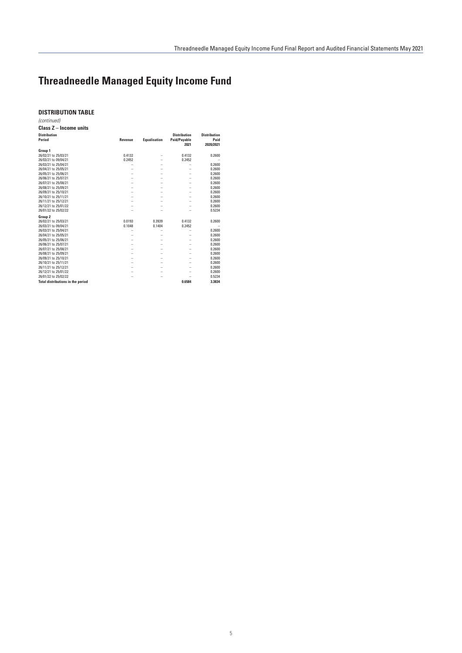# **DISTRIBUTION TABLE**

**Class Z – Income units** *(continued)*

| 61499 L = 111601116 UNIO                 |                |                     |                                             |                                          |
|------------------------------------------|----------------|---------------------|---------------------------------------------|------------------------------------------|
| <b>Distribution</b><br>Period            | <b>Revenue</b> | <b>Equalisation</b> | <b>Distribution</b><br>Paid/Payable<br>2021 | <b>Distribution</b><br>Paid<br>2020/2021 |
| Group 1                                  |                |                     |                                             |                                          |
| 26/02/21 to 25/03/21                     | 0.4132         | -                   | 0.4132                                      | 0.2600                                   |
| 26/03/21 to 09/04/21                     | 0.2452         |                     | 0.2452                                      |                                          |
| 26/03/21 to 25/04/21                     |                |                     |                                             | 0.2600                                   |
| 26/04/21 to 25/05/21                     |                | -                   |                                             | 0.2600                                   |
| 26/05/21 to 25/06/21                     |                | -                   |                                             | 0.2600                                   |
| 26/06/21 to 25/07/21                     |                | -                   |                                             | 0.2600                                   |
| 26/07/21 to 25/08/21                     |                |                     |                                             | 0.2600                                   |
| 26/08/21 to 25/09/21                     |                | -                   |                                             | 0.2600                                   |
| 26/09/21 to 25/10/21                     |                |                     |                                             | 0.2600                                   |
| 26/10/21 to 25/11/21                     |                | -                   |                                             | 0.2600                                   |
| 26/11/21 to 25/12/21                     |                |                     |                                             | 0.2600                                   |
| 26/12/21 to 25/01/22                     |                |                     |                                             | 0.2600                                   |
| 26/01/22 to 25/02/22                     |                |                     |                                             | 0.5234                                   |
| Group 2                                  |                |                     |                                             |                                          |
| 26/02/21 to 25/03/21                     | 0.0193         | 0.3939              | 0.4132                                      | 0.2600                                   |
| 26/03/21 to 09/04/21                     | 0.1048         | 0.1404              | 0.2452                                      |                                          |
| 26/03/21 to 25/04/21                     |                |                     |                                             | 0.2600                                   |
| 26/04/21 to 25/05/21                     |                | -                   |                                             | 0.2600                                   |
| 26/05/21 to 25/06/21                     |                | -                   |                                             | 0.2600                                   |
| 26/06/21 to 25/07/21                     |                | -                   |                                             | 0.2600                                   |
| 26/07/21 to 25/08/21                     | -              | -                   |                                             | 0.2600                                   |
| 26/08/21 to 25/09/21                     |                | -                   |                                             | 0.2600                                   |
| 26/09/21 to 25/10/21                     |                | -                   |                                             | 0.2600                                   |
| 26/10/21 to 25/11/21                     |                | -                   |                                             | 0.2600                                   |
| 26/11/21 to 25/12/21                     |                | -                   |                                             | 0.2600                                   |
| 26/12/21 to 25/01/22                     |                |                     |                                             | 0.2600                                   |
| 26/01/22 to 25/02/22                     |                |                     |                                             | 0.5234                                   |
| <b>Total distributions in the period</b> |                |                     | 0.6584                                      | 3.3834                                   |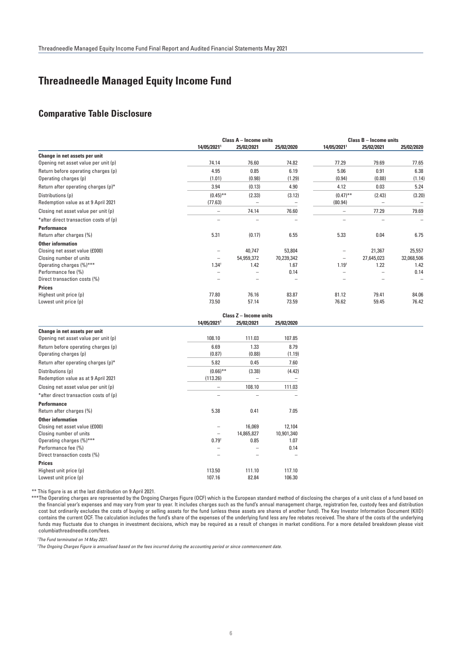# **Comparative Table Disclosure**

|                                        | Class A - Income units   |                          |            | <b>Class B - Income units</b> |            |            |
|----------------------------------------|--------------------------|--------------------------|------------|-------------------------------|------------|------------|
|                                        | 14/05/20211              | 25/02/2021               | 25/02/2020 | 14/05/20211                   | 25/02/2021 | 25/02/2020 |
| Change in net assets per unit          |                          |                          |            |                               |            |            |
| Opening net asset value per unit (p)   | 74.14                    | 76.60                    | 74.82      | 77.29                         | 79.69      | 77.65      |
| Return before operating charges (p)    | 4.95                     | 0.85                     | 6.19       | 5.06                          | 0.91       | 6.38       |
| Operating charges (p)                  | (1.01)                   | (0.98)                   | (1.29)     | (0.94)                        | (0.88)     | (1.14)     |
| Return after operating charges (p)*    | 3.94                     | (0.13)                   | 4.90       | 4.12                          | 0.03       | 5.24       |
| Distributions (p)                      | $(0.45)$ **              | (2.33)                   | (3.12)     | $(0.47)$ **                   | (2.43)     | (3.20)     |
| Redemption value as at 9 April 2021    | (77.63)                  | $\overline{\phantom{a}}$ | -          | (80.94)                       |            | -          |
| Closing net asset value per unit (p)   | $\overline{\phantom{0}}$ | 74.14                    | 76.60      |                               | 77.29      | 79.69      |
| *after direct transaction costs of (p) | $\overline{\phantom{0}}$ | -                        | -          |                               |            | -          |
| <b>Performance</b>                     |                          |                          |            |                               |            |            |
| Return after charges (%)               | 5.31                     | (0.17)                   | 6.55       | 5.33                          | 0.04       | 6.75       |
| <b>Other information</b>               |                          |                          |            |                               |            |            |
| Closing net asset value (£000)         |                          | 40,747                   | 53,804     |                               | 21,367     | 25,557     |
| Closing number of units                |                          | 54,959,372               | 70,239,342 |                               | 27,645,023 | 32,068,506 |
| Operating charges (%)***               | $1.34^{\dagger}$         | 1.42                     | 1.67       | 1.19 <sup>†</sup>             | 1.22       | 1.42       |
| Performance fee (%)                    |                          |                          | 0.14       |                               |            | 0.14       |
| Direct transaction costs (%)           |                          |                          |            |                               |            |            |
| <b>Prices</b>                          |                          |                          |            |                               |            |            |
| Highest unit price (p)                 | 77.80                    | 76.16                    | 83.87      | 81.12                         | 79.41      | 84.06      |
| Lowest unit price (p)                  | 73.50                    | 57.14                    | 73.59      | 76.62                         | 59.45      | 76.42      |
|                                        |                          | Class Z - Income units   |            |                               |            |            |

**14/05/20211 25/02/2021 25/02/2020 Change in net assets per unit** Opening net asset value per unit (p) 108.10 108.10 108.10 111.03 107.85 Return before operating charges (p)  $6.69$  1.33 8.79 Operating charges (p)  $(0.87)$  (0.88) (1.19) Return after operating charges (p)\* 5.82 6.45 7.60  $Distributions (p)$  (0.66)<sup>\*\*</sup> (3.38) (4.42) Redemption value as at 9 April 2021 (113.26) Closing net asset value per unit (p)  $-$  108.10 111.03  $*$ after direct transaction costs of  $(p)$  – **Performance** Return after charges (%) 6.38 0.41 7.05 **Other information** Closing net asset value (£000)  $-$  16,069 12,104<br>Closing number of units and the set of the set of the set of the set of the set of the set of the set of the set of the set of the set of the set of the set of the set of th Closing number of units  $-$  14,865,827 10,901,340<br>  $0.0015340$ <br>  $0.0015340$ <br>  $0.0015340$ <br>  $0.0015340$ <br>  $0.0015340$ <br>  $0.0015340$ Operating charges (%)\*\*\* Performance fee  $\binom{96}{0}$   $\qquad \qquad -$  0.14 Direct transaction costs (%) – – – **Prices** Highest unit price (p) 113.50 111.10 117.10 117.10 117.10 117.10 117.10 117.10 117.10 117.10 117.10 117.10 117 Lowest unit price (p)

\*\* This figure is as at the last distribution on 9 April 2021.

 \*\*\*The Operating charges are represented by the Ongoing Charges Figure (OCF) which is the European standard method of disclosing the charges of a unit class of a fund based on the financial year's expenses and may vary from year to year. It includes charges such as the fund's annual management charge, registration fee, custody fees and distribution cost but ordinarily excludes the costs of buying or selling assets for the fund (unless these assets are shares of another fund). The Key Investor Information Document (KIID) contains the current OCF. The calculation includes the fund's share of the expenses of the underlying fund less any fee rebates received. The share of the costs of the underlying funds may fluctuate due to changes in investment decisions, which may be required as a result of changes in market conditions. For a more detailed breakdown please visit columbiathreadneedle.com/fees.

 *1 The Fund terminated on 14 May 2021.* 

 *† The Ongoing Charges Figure is annualised based on the fees incurred during the accounting period or since commencement date.*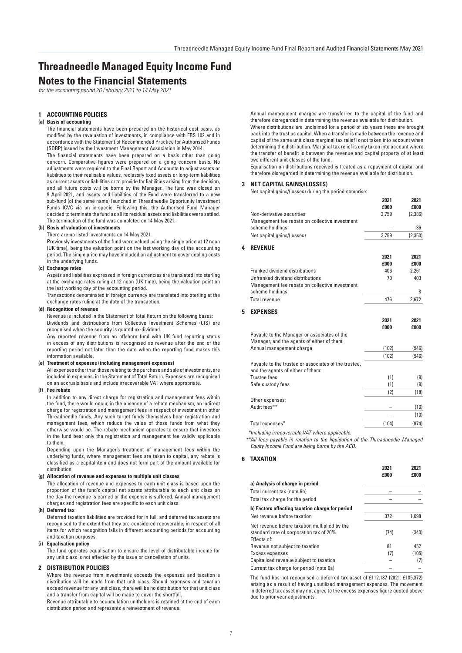# **Notes to the Financial Statements**

*for the accounting period 26 February 2021 to 14 May 2021*

# **1 ACCOUNTING POLICIES**

# **(a) Basis of accounting**

The financial statements have been prepared on the historical cost basis, as modified by the revaluation of investments, in compliance with FRS 102 and in accordance with the Statement of Recommended Practice for Authorised Funds (SORP) issued by the Investment Management Association in May 2014.

The financial statements have been prepared on a basis other than going concern. Comparative figures were prepared on a going concern basis. No adjustments were required to the Final Report and Accounts to adjust assets or liabilities to their realisable values, reclassify fixed assets or long-term liabilities as current assets or liabilities or to provide for liabilities arising from the decision, and all future costs will be borne by the Manager. The fund was closed on 9 April 2021, and assets and liabilities of the Fund were transferred to a new sub-fund (of the same name) launched in Threadneedle Opportunity Investment Funds ICVC via an in-specie. Following this, the Authorised Fund Manager decided to terminate the fund as all its residual assets and liabilities were settled. The termination of the fund was completed on 14 May 2021.

## **(b) Basis of valuation of investments**

There are no listed investments on 14 May 2021.

Previously investments of the fund were valued using the single price at 12 noon (UK time), being the valuation point on the last working day of the accounting period. The single price may have included an adjustment to cover dealing costs in the underlying funds.

#### **(c) Exchange rates**

Assets and liabilities expressed in foreign currencies are translated into sterling at the exchange rates ruling at 12 noon (UK time), being the valuation point on the last working day of the accounting period.

Transactions denominated in foreign currency are translated into sterling at the exchange rates ruling at the date of the transaction.

# **(d) Recognition of revenue**

Revenue is included in the Statement of Total Return on the following bases: Dividends and distributions from Collective Investment Schemes (CIS) are recognised when the security is quoted ex-dividend.

Any reported revenue from an offshore fund with UK fund reporting status in excess of any distributions is recognised as revenue after the end of the reporting period not later than the date when the reporting fund makes this information available.

# **(e) Treatment of expenses (including management expenses)**

All expenses other than those relating to the purchase and sale of investments, are included in expenses, in the Statement of Total Return. Expenses are recognised on an accruals basis and include irrecoverable VAT where appropriate.

#### **(f) Fee rebate**

In addition to any direct charge for registration and management fees within the fund, there would occur, in the absence of a rebate mechanism, an indirect charge for registration and management fees in respect of investment in other Threadneedle funds. Any such target funds themselves bear registration and management fees, which reduce the value of those funds from what they otherwise would be. The rebate mechanism operates to ensure that investors in the fund bear only the registration and management fee validly applicable to them.

Depending upon the Manager's treatment of management fees within the underlying funds, where management fees are taken to capital, any rebate is classified as a capital item and does not form part of the amount available for distribution.

#### **(g) Allocation of revenue and expenses to multiple unit classes**

The allocation of revenue and expenses to each unit class is based upon the proportion of the fund's capital net assets attributable to each unit class on the day the revenue is earned or the expense is suffered. Annual management charges and registration fees are specific to each unit class.

#### **(h) Deferred tax**

Deferred taxation liabilities are provided for in full, and deferred tax assets are recognised to the extent that they are considered recoverable, in respect of all items for which recognition falls in different accounting periods for accounting and taxation purposes.

## **(i) Equalisation policy**

The fund operates equalisation to ensure the level of distributable income for any unit class is not affected by the issue or cancellation of units.

## **2 DISTRIBUTION POLICIES**

Where the revenue from investments exceeds the expenses and taxation a distribution will be made from that unit class. Should expenses and taxation exceed revenue for any unit class, there will be no distribution for that unit class and a transfer from capital will be made to cover the shortfall.

Revenue attributable to accumulation unitholders is retained at the end of each distribution period and represents a reinvestment of revenue.

Annual management charges are transferred to the capital of the fund and therefore disregarded in determining the revenue available for distribution. Where distributions are unclaimed for a period of six years these are brought back into the trust as capital. When a transfer is made between the revenue and capital of the same unit class marginal tax relief is not taken into account when determining the distribution. Marginal tax relief is only taken into account where the transfer of benefit is between the revenue and capital property of at least two different unit classes of the fund.

Equalisation on distributions received is treated as a repayment of capital and therefore disregarded in determining the revenue available for distribution.

**2021 2021**

**2021 2021**

## **3 NET CAPITAL GAINS/(LOSSES)**

Net capital gains/(losses) during the period comprise:

|   |                                                      | £000  | £000    |
|---|------------------------------------------------------|-------|---------|
|   | Non-derivative securities                            | 3.759 | (2.386) |
|   | Management fee rebate on collective investment       |       |         |
|   | scheme holdings                                      |       | 36      |
|   | Net capital gains/(losses)                           | 3,759 | (2,350) |
| 4 | <b>REVENUE</b>                                       |       |         |
|   |                                                      | 2021  | 2021    |
|   |                                                      | £000  | £000    |
|   | Franked dividend distributions                       | 406   | 2,261   |
|   | Unfranked dividend distributions                     | 70    | 403     |
|   | Management fee rebate on collective investment       |       |         |
|   | scheme holdings                                      |       | 8       |
|   | <b>Total revenue</b>                                 | 476   | 2,672   |
| 5 | <b>EXPENSES</b>                                      |       |         |
|   |                                                      | 2021  | 2021    |
|   |                                                      | £000  | £000    |
|   | Payable to the Manager or associates of the          |       |         |
|   | Manager, and the agents of either of them:           |       |         |
|   | Annual management charge                             | (102) | (946)   |
|   |                                                      | (102) | (946)   |
|   | Payable to the trustee or associates of the trustee, |       |         |
|   | and the agents of either of them:                    |       |         |
|   | <b>Trustee fees</b>                                  | (1)   | (9)     |
|   | Safe custody fees                                    | (1)   | (9)     |
|   |                                                      | (2)   | (18)    |
|   | Other expenses:                                      |       |         |
|   | Audit fees**                                         |       | (10)    |
|   |                                                      |       | (10)    |
|   | Total expenses*                                      | (104) | (974)   |

*\*Including irrecoverable VAT where applicable.*

*\*\*All fees payable in relation to the liquidation of the Threadneedle Managed Equity Income Fund are being borne by the ACD.*

# **6 TAXATION**

|                                                                                                         | £000 | fooo  |
|---------------------------------------------------------------------------------------------------------|------|-------|
| a) Analysis of charge in period                                                                         |      |       |
| Total current tax (note 6b)                                                                             |      |       |
| Total tax charge for the period                                                                         |      |       |
| b) Factors affecting taxation charge for period                                                         |      |       |
| Net revenue before taxation                                                                             | 372  | 1.698 |
| Net revenue before taxation multiplied by the<br>standard rate of corporation tax of 20%<br>Effects of: | (74) | (340) |
| Revenue not subject to taxation                                                                         | 81   | 452   |
| Excess expenses                                                                                         | (7)  | (105) |
| Capitalised revenue subject to taxation                                                                 |      | (7)   |
| Current tax charge for period (note 6a)                                                                 |      |       |

The fund has not recognised a deferred tax asset of £112,137 (2021: £105,372) arising as a result of having unutilised management expenses. The movement in deferred tax asset may not agree to the excess expenses figure quoted above due to prior year adjustments.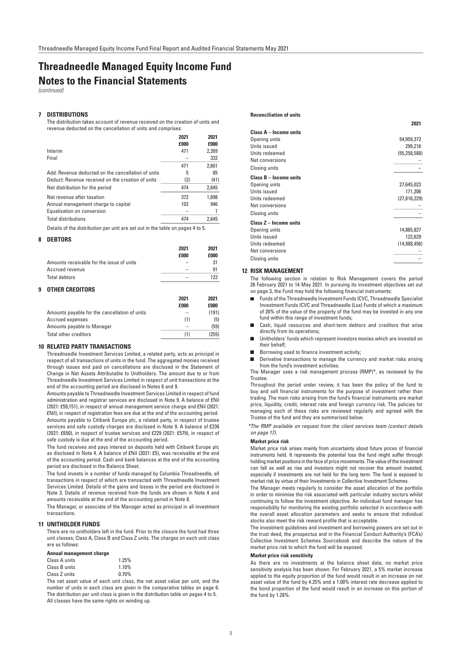# **Notes to the Financial Statements Threadneedle Managed Equity Income Fund**

*(continued)*

# **7 DISTRIBUTIONS**

The distribution takes account of revenue received on the creation of units and revenue deducted on the cancellation of units and comprises:

|                                                    | 2021<br>£000 | 2021<br>£000 |
|----------------------------------------------------|--------------|--------------|
| Interim                                            | 471          | 2.269        |
| Final                                              |              | 332          |
|                                                    | 471          | 2.601        |
| Add: Revenue deducted on the cancellation of units | 5            | 85           |
| Deduct: Revenue received on the creation of units  | (2)          | (41)         |
| Net distribution for the period                    | 474          | 2,645        |
| Net revenue after taxation                         | 372          | 1.698        |
| Annual management charge to capital                | 102          | 946          |
| Equalisation on conversion                         |              |              |
| <b>Total distributions</b>                         | 474          | 2.645        |

Details of the distribution per unit are set out in the table on pages 4 to 5.

## **8 DEBTORS**

|                                           | 2021                     | 2021        |
|-------------------------------------------|--------------------------|-------------|
|                                           | f000                     | <b>f000</b> |
| Amounts receivable for the issue of units | -                        | 31          |
| Accrued revenue                           | -                        | 91          |
| Total debtors                             | $\overline{\phantom{a}}$ | 199         |

# **9 OTHER CREDITORS**

|                                               | 2021 | 2021  |
|-----------------------------------------------|------|-------|
|                                               | £000 | £000  |
| Amounts payable for the cancellation of units |      | (191) |
| Accrued expenses                              | (1)  | (5)   |
| Amounts payable to Manager                    |      | (59)  |
| <b>Total other creditors</b>                  | (1)  | (255) |

# **10 RELATED PARTY TRANSACTIONS**

Threadneedle Investment Services Limited, a related party, acts as principal in respect of all transactions of units in the fund. The aggregated monies received through issues and paid on cancellations are disclosed in the Statement of Change in Net Assets Attributable to Unitholders. The amount due to or from Threadneedle Investment Services Limited in respect of unit transactions at the end of the accounting period are disclosed in Notes 8 and 9.

Amounts payable to Threadneedle Investment Services Limited in respect of fund administration and registrar services are disclosed in Note 9. A balance of £Nil (2021: £59,151), in respect of annual management service charge and £Nil (2021: £Nil), in respect of registration fees are due at the end of the accounting period. Amounts payable to Citibank Europe plc, a related party, in respect of trustee services and safe custody charges are disclosed in Note 9. A balance of £236 (2021: £650), in respect of trustee services and £229 (2021: £579), in respect of safe custody is due at the end of the accounting period.

The fund receives and pays interest on deposits held with Citibank Europe plc as disclosed in Note 4. A balance of £Nil (2021: £5), was receivable at the end of the accounting period. Cash and bank balances at the end of the accounting period are disclosed in the Balance Sheet.

The fund invests in a number of funds managed by Columbia Threadneedle, all transactions in respect of which are transacted with Threadneedle Investment Services Limited. Details of the gains and losses in the period are disclosed in Note 3. Details of revenue received from the funds are shown in Note 4 and amounts receivable at the end of the accounting period in Note 8.

The Manager, or associate of the Manager acted as principal in all investment transactions.

# **11 UNITHOLDER FUNDS**

There are no unitholders left in the fund. Prior to the closure the fund had three unit classes; Class A, Class B and Class Z units. The charges on each unit class are as follows:

#### **Annual management charge**

| Class A units |  |  |       | 1.25% |  |
|---------------|--|--|-------|-------|--|
| Class B units |  |  |       | 1.10% |  |
| Class Z units |  |  | 0.70% |       |  |
| -             |  |  |       |       |  |

The net asset value of each unit class, the net asset value per unit, and the number of units in each class are given in the comparative tables on page 6. The distribution per unit class is given in the distribution table on pages 4 to 5. All classes have the same rights on winding up.

#### **Reconciliation of units**

| 54,959,372     |
|----------------|
| 299,216        |
| (55, 258, 588) |
|                |
|                |
|                |
| 27,645,023     |
| 171,206        |
| (27, 816, 229) |
|                |
|                |
|                |
| 14,865,827     |
| 122,629        |
| (14, 988, 456) |
|                |
|                |
|                |

**2021**

#### **12 RISK MANAGEMENT**

The following section in relation to Risk Management covers the period 26 February 2021 to 14 May 2021. In pursuing its investment objectives set out on page 3, the Fund may hold the following financial instruments:

- Funds of the Threadneedle Investment Funds ICVC, Threadneedle Specialist Investment Funds ICVC and Threadneedle (Lux) Funds of which a maximum of 20% of the value of the property of the fund may be invested in any one fund within this range of investment funds;
- $\blacksquare$ Cash, liquid resources and short-term debtors and creditors that arise directly from its operations:
- Unitholders' funds which represent investors monies which are invested on their behalf;
- Borrowing used to finance investment activity;
- Derivative transactions to manage the currency and market risks arising from the fund's investment activities.

The Manager uses a risk management process (RMP)\*, as reviewed by the Trustee.

Throughout the period under review, it has been the policy of the fund to buy and sell financial instruments for the purpose of investment rather than trading. The main risks arising from the fund's financial instruments are market price, liquidity, credit, interest rate and foreign currency risk. The policies for managing each of these risks are reviewed regularly and agreed with the Trustee of the fund and they are summarised below.

*\*The RMP available on request from the client services team (contact details on page 17).*

#### **Market price risk**

Market price risk arises mainly from uncertainty about future prices of financial instruments held. It represents the potential loss the fund might suffer through holding market positions in the face of price movements. The value of the investment can fall as well as rise and investors might not recover the amount invested, especially if investments are not held for the long term. The fund is exposed to market risk by virtue of their Investments in Collective Investment Schemes.

The Manager meets regularly to consider the asset allocation of the portfolio in order to minimise the risk associated with particular industry sectors whilst continuing to follow the investment objective. An individual fund manager has responsibility for monitoring the existing portfolio selected in accordance with the overall asset allocation parameters and seeks to ensure that individual stocks also meet the risk reward profile that is acceptable.

The investment guidelines and investment and borrowing powers are set out in the trust deed, the prospectus and in the Financial Conduct Authority's (FCA's) Collective Investment Schemes Sourcebook and describe the nature of the market price risk to which the fund will be exposed.

# **Market price risk sensitivity**

As there are no investments at the balance sheet date, no market price sensitivity analysis has been shown. For February 2021, a 5% market increase applied to the equity proportion of the fund would result in an increase on net asset value of the fund by 4.25% and a 1.00% interest rate decrease applied to the bond proportion of the fund would result in an increase on this portion of the fund by 1.28%.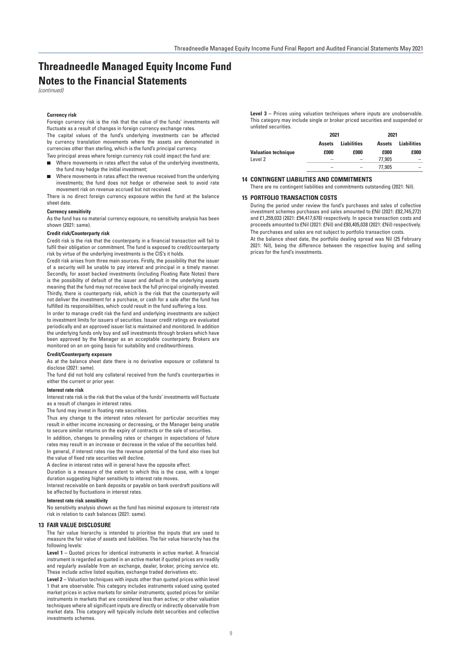# **Notes to the Financial Statements** *(continued)* **Threadneedle Managed Equity Income Fund**

## **Currency risk**

Foreign currency risk is the risk that the value of the funds' investments will fluctuate as a result of changes in foreign currency exchange rates.

The capital values of the fund's underlying investments can be affected by currency translation movements where the assets are denominated in currencies other than sterling, which is the fund's principal currency.

Two principal areas where foreign currency risk could impact the fund are:

- Where movements in rates affect the value of the underlying investments, the fund may hedge the initial investment;
- Where movements in rates affect the revenue received from the underlying investments; the fund does not hedge or otherwise seek to avoid rate movement risk on revenue accrued but not received.

There is no direct foreign currency exposure within the fund at the balance sheet date.

# **Currency sensitivity**

As the fund has no material currency exposure, no sensitivity analysis has been shown (2021: same).

## **Credit risk/Counterparty risk**

Credit risk is the risk that the counterparty in a financial transaction will fail to fulfil their obligation or commitment. The fund is exposed to credit/counterparty risk by virtue of the underlying investments is the CIS's it holds.

Credit risk arises from three main sources. Firstly, the possibility that the issuer of a security will be unable to pay interest and principal in a timely manner. Secondly, for asset backed investments (including Floating Rate Notes) there is the possibility of default of the issuer and default in the underlying assets meaning that the fund may not receive back the full principal originally invested. Thirdly, there is counterparty risk, which is the risk that the counterparty will not deliver the investment for a purchase, or cash for a sale after the fund has fulfilled its responsibilities, which could result in the fund suffering a loss.

In order to manage credit risk the fund and underlying investments are subject to investment limits for issuers of securities. Issuer credit ratings are evaluated periodically and an approved issuer list is maintained and monitored. In addition the underlying funds only buy and sell investments through brokers which have been approved by the Manager as an acceptable counterparty. Brokers are monitored on an on-going basis for suitability and creditworthiness.

#### **Credit/Counterparty exposure**

As at the balance sheet date there is no derivative exposure or collateral to disclose (2021: same).

The fund did not hold any collateral received from the fund's counterparties in either the current or prior year.

# **Interest rate risk**

Interest rate risk is the risk that the value of the funds' investments will fluctuate as a result of changes in interest rates

The fund may invest in floating rate securities.

Thus any change to the interest rates relevant for particular securities may result in either income increasing or decreasing, or the Manager being unable to secure similar returns on the expiry of contracts or the sale of securities.

In addition, changes to prevailing rates or changes in expectations of future rates may result in an increase or decrease in the value of the securities held. In general, if interest rates rise the revenue potential of the fund also rises but the value of fixed rate securities will decline.

A decline in interest rates will in general have the opposite effect.

Duration is a measure of the extent to which this is the case, with a longer duration suggesting higher sensitivity to interest rate moves.

Interest receivable on bank deposits or payable on bank overdraft positions will be affected by fluctuations in interest rates.

#### **Interest rate risk sensitivity**

No sensitivity analysis shown as the fund has minimal exposure to interest rate risk in relation to cash balances (2021: same).

# **13 FAIR VALUE DISCLOSURE**

The fair value hierarchy is intended to prioritise the inputs that are used to measure the fair value of assets and liabilities. The fair value hierarchy has the following levels:

**Level 1 –** Quoted prices for identical instruments in active market. A financial instrument is regarded as quoted in an active market if quoted prices are readily and regularly available from an exchange, dealer, broker, pricing service etc. These include active listed equities, exchange traded derivatives etc.

**Level 2 –** Valuation techniques with inputs other than quoted prices within level 1 that are observable. This category includes instruments valued using quoted market prices in active markets for similar instruments; quoted prices for similar instruments in markets that are considered less than active; or other valuation techniques where all significant inputs are directly or indirectly observable from market data. This category will typically include debt securities and collective investments schemes.

**Level 3** – Prices using valuation techniques where inputs are unobservable. This category may include single or broker priced securities and suspended or unlisted securities.

|                            | 2021          |                          | 2021          |                    |  |
|----------------------------|---------------|--------------------------|---------------|--------------------|--|
|                            | <b>Assets</b> | <b>Liabilities</b>       | <b>Assets</b> | <b>Liabilities</b> |  |
| <b>Valuation technique</b> | £000          | £000                     | £000          | £000               |  |
| Level 2                    | -             | $\overline{\phantom{0}}$ | 77.905        | -                  |  |
|                            | -             | $\overline{\phantom{a}}$ | 77.905        | -                  |  |

## **14 CONTINGENT LIABILITIES AND COMMITMENTS**

There are no contingent liabilities and commitments outstanding (2021: Nil).

#### **15 PORTFOLIO TRANSACTION COSTS**

During the period under review the fund's purchases and sales of collective investment schemes purchases and sales amounted to £Nil (2021: £82,745,272) and £1,259,033 (2021: £94,417,678) respectively. In specie transaction costs and proceeds amounted to £Nil (2021: £Nil) and £80,405,038 (2021: £Nil) respectively. The purchases and sales are not subject to portfolio transaction costs. At the balance sheet date, the portfolio dealing spread was Nil (25 February 2021: Nil), being the difference between the respective buying and selling prices for the fund's investments.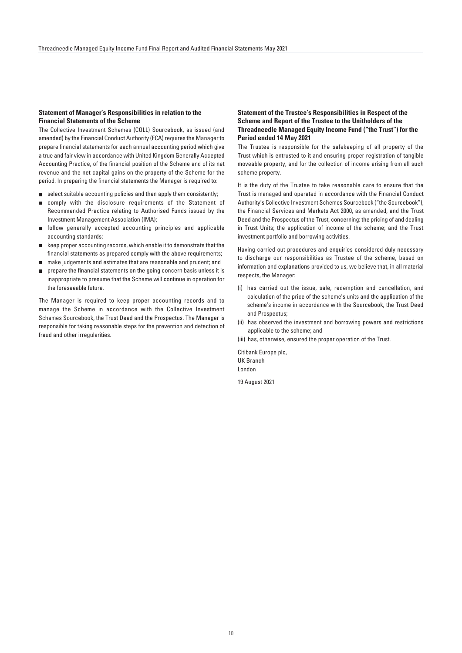# **Statement of Manager's Responsibilities in relation to the Financial Statements of the Scheme**

The Collective Investment Schemes (COLL) Sourcebook, as issued (and amended) by the Financial Conduct Authority (FCA) requires the Manager to prepare financial statements for each annual accounting period which give a true and fair view in accordance with United Kingdom Generally Accepted Accounting Practice, of the financial position of the Scheme and of its net revenue and the net capital gains on the property of the Scheme for the period. In preparing the financial statements the Manager is required to:

- $\blacksquare$  select suitable accounting policies and then apply them consistently;
- comply with the disclosure requirements of the Statement of  $\blacksquare$ Recommended Practice relating to Authorised Funds issued by the Investment Management Association (IMA);
- **follow generally accepted accounting principles and applicable** accounting standards;
- keep proper accounting records, which enable it to demonstrate that the financial statements as prepared comply with the above requirements;
- make judgements and estimates that are reasonable and prudent; and
- **prepare the financial statements on the going concern basis unless it is** inappropriate to presume that the Scheme will continue in operation for the foreseeable future.

The Manager is required to keep proper accounting records and to manage the Scheme in accordance with the Collective Investment Schemes Sourcebook, the Trust Deed and the Prospectus. The Manager is responsible for taking reasonable steps for the prevention and detection of fraud and other irregularities.

# **Statement of the Trustee's Responsibilities in Respect of the Scheme and Report of the Trustee to the Unitholders of the Threadneedle Managed Equity Income Fund ("the Trust") for the Period ended 14 May 2021**

The Trustee is responsible for the safekeeping of all property of the Trust which is entrusted to it and ensuring proper registration of tangible moveable property, and for the collection of income arising from all such scheme property.

It is the duty of the Trustee to take reasonable care to ensure that the Trust is managed and operated in accordance with the Financial Conduct Authority's Collective Investment Schemes Sourcebook ("the Sourcebook"), the Financial Services and Markets Act 2000, as amended, and the Trust Deed and the Prospectus of the Trust, concerning: the pricing of and dealing in Trust Units; the application of income of the scheme; and the Trust investment portfolio and borrowing activities.

Having carried out procedures and enquiries considered duly necessary to discharge our responsibilities as Trustee of the scheme, based on information and explanations provided to us, we believe that, in all material respects, the Manager:

- (i) has carried out the issue, sale, redemption and cancellation, and calculation of the price of the scheme's units and the application of the scheme's income in accordance with the Sourcebook, the Trust Deed and Prospectus;
- (ii) has observed the investment and borrowing powers and restrictions applicable to the scheme; and

(iii) has, otherwise, ensured the proper operation of the Trust.

Citibank Europe plc, UK Branch London

19 August 2021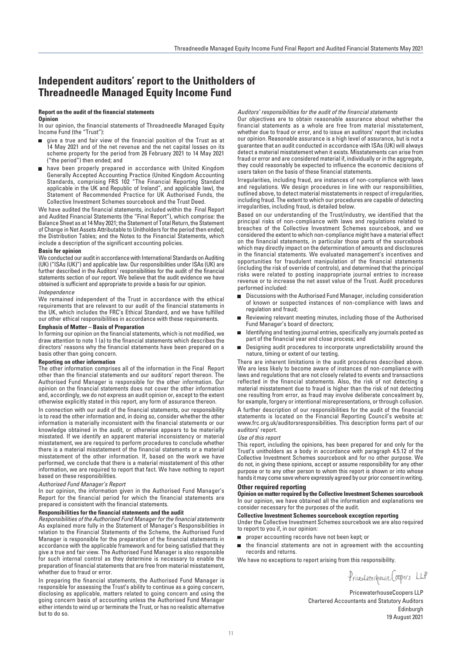# **Independent auditors' report to the Unitholders of Threadneedle Managed Equity Income Fund**

#### **Report on the audit of the financial statements Opinion**

In our opinion, the financial statements of Threadneedle Managed Equity Income Fund (the "Trust"):

- give a true and fair view of the financial position of the Trust as at 14 May 2021 and of the net revenue and the net capital losses on its scheme property for the period from 26 February 2021 to 14 May 2021 ("the period") then ended; and
- have been properly prepared in accordance with United Kingdom Generally Accepted Accounting Practice (United Kingdom Accounting Standards, comprising FRS 102 "The Financial Reporting Standard applicable in the UK and Republic of Ireland", and applicable law), the Statement of Recommended Practice for UK Authorised Funds, the Collective Investment Schemes sourcebook and the Trust Deed.

We have audited the financial statements, included within the Final Report and Audited Financial Statements (the "Final Report"), which comprise: the Balance Sheet as at 14 May 2021; the Statement of Total Return, the Statement of Change in Net Assets Attributable to Unitholders for the period then ended; the Distribution Tables; and the Notes to the Financial Statements, which include a description of the significant accounting policies.

## **Basis for opinion**

We conducted our audit in accordance with International Standards on Auditing (UK) ("ISAs (UK)") and applicable law. Our responsibilities under ISAs (UK) are further described in the Auditors' responsibilities for the audit of the financial statements section of our report. We believe that the audit evidence we have obtained is sufficient and appropriate to provide a basis for our opinion.

#### *Independence*

We remained independent of the Trust in accordance with the ethical requirements that are relevant to our audit of the financial statements in the UK, which includes the FRC's Ethical Standard, and we have fulfilled our other ethical responsibilities in accordance with these requirements.

# **Emphasis of Matter – Basis of Preparation**

In forming our opinion on the financial statements, which is not modified, we draw attention to note 1 (a) to the financial statements which describes the directors' reasons why the financial statements have been prepared on a basis other than going concern.

#### **Reporting on other information**

The other information comprises all of the information in the Final Report other than the financial statements and our auditors' report thereon. The Authorised Fund Manager is responsible for the other information. Our opinion on the financial statements does not cover the other information and, accordingly, we do not express an audit opinion or, except to the extent otherwise explicitly stated in this report, any form of assurance thereon.

In connection with our audit of the financial statements, our responsibility is to read the other information and, in doing so, consider whether the other information is materially inconsistent with the financial statements or our knowledge obtained in the audit, or otherwise appears to be materially misstated. If we identify an apparent material inconsistency or material misstatement, we are required to perform procedures to conclude whether there is a material misstatement of the financial statements or a material misstatement of the other information. If, based on the work we have performed, we conclude that there is a material misstatement of this other information, we are required to report that fact. We have nothing to report based on these responsibilities.

# *Authorised Fund Manager's Report*

In our opinion, the information given in the Authorised Fund Manager's Report for the financial period for which the financial statements are prepared is consistent with the financial statements.

# **Responsibilities for the financial statements and the audit**

*Responsibilities of the Authorised Fund Manager for the financial statements*  As explained more fully in the Statement of Manager's Responsibilities in relation to the Financial Statements of the Scheme, the Authorised Fund Manager is responsible for the preparation of the financial statements in accordance with the applicable framework and for being satisfied that they give a true and fair view. The Authorised Fund Manager is also responsible for such internal control as they determine is necessary to enable the preparation of financial statements that are free from material misstatement, whether due to fraud or error.

In preparing the financial statements, the Authorised Fund Manager is responsible for assessing the Trust's ability to continue as a going concern, disclosing as applicable, matters related to going concern and using the going concern basis of accounting unless the Authorised Fund Manager either intends to wind up or terminate the Trust, or has no realistic alternative but to do so.

#### *Auditors' responsibilities for the audit of the financial statements*

Our objectives are to obtain reasonable assurance about whether the financial statements as a whole are free from material misstatement, whether due to fraud or error, and to issue an auditors' report that includes our opinion. Reasonable assurance is a high level of assurance, but is not a guarantee that an audit conducted in accordance with ISAs (UK) will always detect a material misstatement when it exists. Misstatements can arise from fraud or error and are considered material if, individually or in the aggregate, they could reasonably be expected to influence the economic decisions of users taken on the basis of these financial statements.

Irregularities, including fraud, are instances of non-compliance with laws and regulations. We design procedures in line with our responsibilities, outlined above, to detect material misstatements in respect of irregularities, including fraud. The extent to which our procedures are capable of detecting irregularities, including fraud, is detailed below.

Based on our understanding of the Trust/industry, we identified that the principal risks of non-compliance with laws and regulations related to breaches of the Collective Investment Schemes sourcebook, and we considered the extent to which non-compliance might have a material effect on the financial statements, in particular those parts of the sourcebook which may directly impact on the determination of amounts and disclosures in the financial statements. We evaluated management's incentives and opportunities for fraudulent manipulation of the financial statements (including the risk of override of controls), and determined that the principal risks were related to posting inappropriate journal entries to increase revenue or to increase the net asset value of the Trust. Audit procedures performed included:

- $\blacksquare$ Discussions with the Authorised Fund Manager, including consideration of known or suspected instances of non-compliance with laws and regulation and fraud;
- Reviewing relevant meeting minutes, including those of the Authorised Fund Manager's board of directors;
- Identifying and testing journal entries, specifically any journals posted as part of the financial year end close process; and
- Designing audit procedures to incorporate unpredictability around the  $\Box$ nature, timing or extent of our testing.

There are inherent limitations in the audit procedures described above. We are less likely to become aware of instances of non-compliance with laws and regulations that are not closely related to events and transactions reflected in the financial statements. Also, the risk of not detecting a material misstatement due to fraud is higher than the risk of not detecting one resulting from error, as fraud may involve deliberate concealment by, for example, forgery or intentional misrepresentations, or through collusion.

A further description of our responsibilities for the audit of the financial statements is located on the Financial Reporting Council's website at: www.frc.org.uk/auditorsresponsibilities. This description forms part of our auditors' report.

## *Use of this report*

This report, including the opinions, has been prepared for and only for the Trust's unitholders as a body in accordance with paragraph 4.5.12 of the Collective Investment Schemes sourcebook and for no other purpose. We do not, in giving these opinions, accept or assume responsibility for any other purpose or to any other person to whom this report is shown or into whose hands it may come save where expressly agreed by our prior consent in writing.

## **Other required reporting**

**Opinion on matter required by the Collective Investment Schemes sourcebook** In our opinion, we have obtained all the information and explanations we consider necessary for the purposes of the audit.

## **Collective Investment Schemes sourcebook exception reporting**

Under the Collective Investment Schemes sourcebook we are also required to report to you if, in our opinion:

- proper accounting records have not been kept; or
- the financial statements are not in agreement with the accounting  $\blacksquare$ records and returns.

We have no exceptions to report arising from this responsibility.

Privaterhouse Coopers LLP

PricewaterhouseCoopers LLP Chartered Accountants and Statutory Auditors Edinburgh 19 August 2021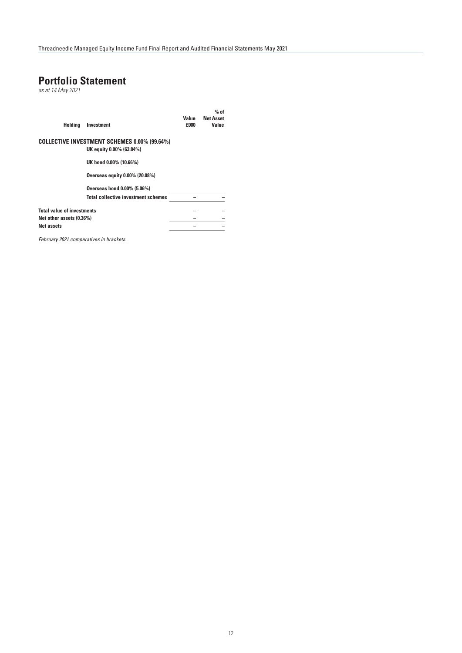# **Portfolio Statement**

*as at 14 May 2021*

| <b>Holding</b>                    | Investment                                          | Value<br>£000 | $%$ of<br><b>Net Asset</b><br>Value |
|-----------------------------------|-----------------------------------------------------|---------------|-------------------------------------|
|                                   | <b>COLLECTIVE INVESTMENT SCHEMES 0.00% (99.64%)</b> |               |                                     |
|                                   | UK equity 0.00% (63.84%)                            |               |                                     |
|                                   | UK bond 0.00% (10.66%)                              |               |                                     |
|                                   | Overseas equity 0.00% (20.08%)                      |               |                                     |
|                                   | Overseas bond 0.00% (5.06%)                         |               |                                     |
|                                   | <b>Total collective investment schemes</b>          |               |                                     |
| <b>Total value of investments</b> |                                                     |               |                                     |
| Net other assets (0.36%)          |                                                     |               |                                     |
| <b>Net assets</b>                 |                                                     |               |                                     |

*February 2021 comparatives in brackets.*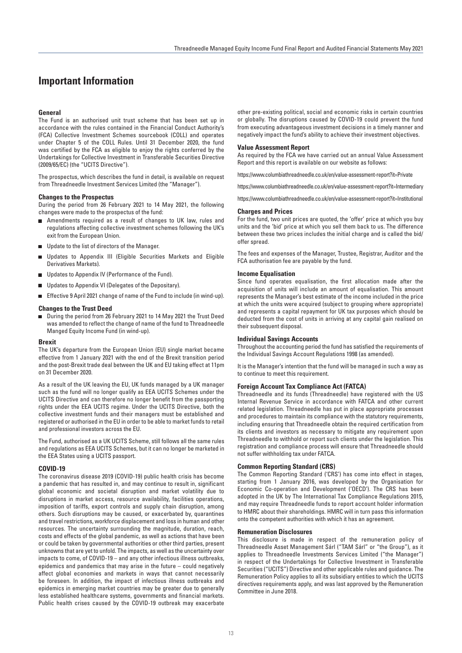# **Important Information**

# **General**

The Fund is an authorised unit trust scheme that has been set up in accordance with the rules contained in the Financial Conduct Authority's (FCA) Collective Investment Schemes sourcebook (COLL) and operates under Chapter 5 of the COLL Rules. Until 31 December 2020, the fund was certified by the FCA as eligible to enjoy the rights conferred by the Undertakings for Collective Investment in Transferable Securities Directive (2009/65/EC) (the "UCITS Directive").

The prospectus, which describes the fund in detail, is available on request from Threadneedle Investment Services Limited (the "Manager").

#### **Changes to the Prospectus**

During the period from 26 February 2021 to 14 May 2021, the following changes were made to the prospectus of the fund:

- Amendments required as a result of changes to UK law, rules and regulations affecting collective investment schemes following the UK's exit from the European Union.
- Update to the list of directors of the Manager.
- Updates to Appendix III (Eligible Securities Markets and Eligible Derivatives Markets).
- Updates to Appendix IV (Performance of the Fund).
- Updates to Appendix VI (Delegates of the Depositary).
- Effective 9 April 2021 change of name of the Fund to include (in wind-up).

# **Changes to the Trust Deed**

■ During the period from 26 February 2021 to 14 May 2021 the Trust Deed was amended to reflect the change of name of the fund to Threadneedle Manged Equity Income Fund (in wind-up).

# **Brexit**

The UK's departure from the European Union (EU) single market became effective from 1 January 2021 with the end of the Brexit transition period and the post-Brexit trade deal between the UK and EU taking effect at 11pm on 31 December 2020.

As a result of the UK leaving the EU, UK funds managed by a UK manager such as the fund will no longer qualify as EEA UCITS Schemes under the UCITS Directive and can therefore no longer benefit from the passporting rights under the EEA UCITS regime. Under the UCITS Directive, both the collective investment funds and their managers must be established and registered or authorised in the EU in order to be able to market funds to retail and professional investors across the EU.

The Fund, authorised as a UK UCITS Scheme, still follows all the same rules and regulations as EEA UCITS Schemes, but it can no longer be marketed in the EEA States using a UCITS passport.

#### **COVID-19**

The coronavirus disease 2019 (COVID-19) public health crisis has become a pandemic that has resulted in, and may continue to result in, significant global economic and societal disruption and market volatility due to disruptions in market access, resource availability, facilities operations, imposition of tariffs, export controls and supply chain disruption, among others. Such disruptions may be caused, or exacerbated by, quarantines and travel restrictions, workforce displacement and loss in human and other resources. The uncertainty surrounding the magnitude, duration, reach, costs and effects of the global pandemic, as well as actions that have been or could be taken by governmental authorities or other third parties, present unknowns that are yet to unfold. The impacts, as well as the uncertainty over impacts to come, of COVID-19 – and any other infectious illness outbreaks, epidemics and pandemics that may arise in the future – could negatively affect global economies and markets in ways that cannot necessarily be foreseen. In addition, the impact of infectious illness outbreaks and epidemics in emerging market countries may be greater due to generally less established healthcare systems, governments and financial markets. Public health crises caused by the COVID-19 outbreak may exacerbate other pre-existing political, social and economic risks in certain countries or globally. The disruptions caused by COVID-19 could prevent the fund from executing advantageous investment decisions in a timely manner and negatively impact the fund's ability to achieve their investment objectives.

# **Value Assessment Report**

As required by the FCA we have carried out an annual Value Assessment Report and this report is available on our website as follows:

https://www.columbiathreadneedle.co.uk/en/value-assessment-report?it=Private

https://www.columbiathreadneedle.co.uk/en/value-assessment-report?it=Intermediary

https://www.columbiathreadneedle.co.uk/en/value-assessment-report?it=Institutional

#### **Charges and Prices**

For the fund, two unit prices are quoted, the 'offer' price at which you buy units and the 'bid' price at which you sell them back to us. The difference between these two prices includes the initial charge and is called the bid/ offer spread.

The fees and expenses of the Manager, Trustee, Registrar, Auditor and the FCA authorisation fee are payable by the fund.

# **Income Equalisation**

Since fund operates equalisation, the first allocation made after the acquisition of units will include an amount of equalisation. This amount represents the Manager's best estimate of the income included in the price at which the units were acquired (subject to grouping where appropriate) and represents a capital repayment for UK tax purposes which should be deducted from the cost of units in arriving at any capital gain realised on their subsequent disposal.

## **Individual Savings Accounts**

Throughout the accounting period the fund has satisfied the requirements of the Individual Savings Account Regulations 1998 (as amended).

It is the Manager's intention that the fund will be managed in such a way as to continue to meet this requirement.

#### **Foreign Account Tax Compliance Act (FATCA)**

Threadneedle and its funds (Threadneedle) have registered with the US Internal Revenue Service in accordance with FATCA and other current related legislation. Threadneedle has put in place appropriate processes and procedures to maintain its compliance with the statutory requirements, including ensuring that Threadneedle obtain the required certification from its clients and investors as necessary to mitigate any requirement upon Threadneedle to withhold or report such clients under the legislation. This registration and compliance process will ensure that Threadneedle should not suffer withholding tax under FATCA.

## **Common Reporting Standard (CRS)**

The Common Reporting Standard ('CRS') has come into effect in stages, starting from 1 January 2016, was developed by the Organisation for Economic Co-operation and Development ('OECD'). The CRS has been adopted in the UK by The International Tax Compliance Regulations 2015, and may require Threadneedle funds to report account holder information to HMRC about their shareholdings. HMRC will in turn pass this information onto the competent authorities with which it has an agreement.

#### **Remuneration Disclosures**

This disclosure is made in respect of the remuneration policy of Threadneedle Asset Management Sárl ("TAM Sárl" or "the Group"), as it applies to Threadneedle Investments Services Limited ("the Manager") in respect of the Undertakings for Collective Investment in Transferable Securities ("UCITS") Directive and other applicable rules and guidance. The Remuneration Policy applies to all its subsidiary entities to which the UCITS directives requirements apply, and was last approved by the Remuneration Committee in June 2018.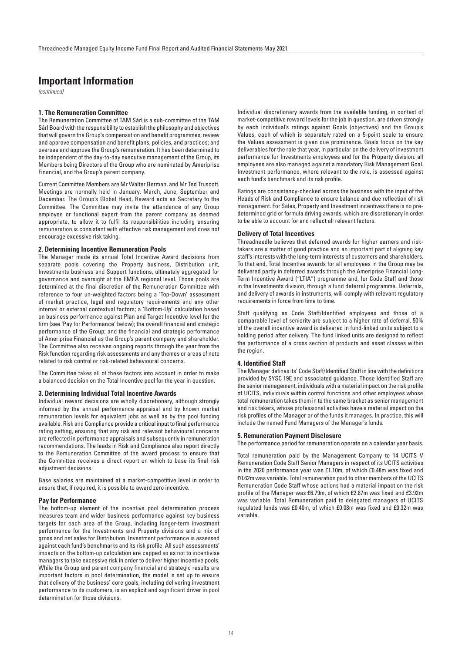# **Important Information**

*(continued)*

# **1. The Remuneration Committee**

The Remuneration Committee of TAM Sárl is a sub-committee of the TAM Sárl Board with the responsibility to establish the philosophy and objectives that will govern the Group's compensation and benefit programmes; review and approve compensation and benefit plans, policies, and practices; and oversee and approve the Group's remuneration. It has been determined to be independent of the day-to-day executive management of the Group, its Members being Directors of the Group who are nominated by Ameriprise Financial, and the Group's parent company.

Current Committee Members are Mr Walter Berman, and Mr Ted Truscott. Meetings are normally held in January, March, June, September and December. The Group's Global Head, Reward acts as Secretary to the Committee. The Committee may invite the attendance of any Group employee or functional expert from the parent company as deemed appropriate, to allow it to fulfil its responsibilities including ensuring remuneration is consistent with effective risk management and does not encourage excessive risk taking.

## **2. Determining Incentive Remuneration Pools**

The Manager made its annual Total Incentive Award decisions from separate pools covering the Property business, Distribution unit, Investments business and Support functions, ultimately aggregated for governance and oversight at the EMEA regional level. Those pools are determined at the final discretion of the Remuneration Committee with reference to four un-weighted factors being a 'Top-Down' assessment of market practice, legal and regulatory requirements and any other internal or external contextual factors; a 'Bottom-Up' calculation based on business performance against Plan and Target Incentive level for the firm (see 'Pay for Performance' below); the overall financial and strategic performance of the Group; and the financial and strategic performance of Ameriprise Financial as the Group's parent company and shareholder. The Committee also receives ongoing reports through the year from the Risk function regarding risk assessments and any themes or areas of note related to risk control or risk-related behavioural concerns.

The Committee takes all of these factors into account in order to make a balanced decision on the Total Incentive pool for the year in question.

# **3. Determining Individual Total Incentive Awards**

Individual reward decisions are wholly discretionary, although strongly informed by the annual performance appraisal and by known market remuneration levels for equivalent jobs as well as by the pool funding available. Risk and Compliance provide a critical input to final performance rating setting, ensuring that any risk and relevant behavioural concerns are reflected in performance appraisals and subsequently in remuneration recommendations. The leads in Risk and Compliance also report directly to the Remuneration Committee of the award process to ensure that the Committee receives a direct report on which to base its final risk adiustment decisions.

Base salaries are maintained at a market-competitive level in order to ensure that, if required, it is possible to award zero incentive.

# **Pay for Performance**

The bottom-up element of the incentive pool determination process measures team and wider business performance against key business targets for each area of the Group, including longer-term investment performance for the Investments and Property divisions and a mix of gross and net sales for Distribution. Investment performance is assessed against each fund's benchmarks and its risk profile. All such assessments' impacts on the bottom-up calculation are capped so as not to incentivise managers to take excessive risk in order to deliver higher incentive pools. While the Group and parent company financial and strategic results are important factors in pool determination, the model is set up to ensure that delivery of the business' core goals, including delivering investment performance to its customers, is an explicit and significant driver in pool determination for those divisions.

Individual discretionary awards from the available funding, in context of market-competitive reward levels for the job in question, are driven strongly by each individual's ratings against Goals (objectives) and the Group's Values, each of which is separately rated on a 5-point scale to ensure the Values assessment is given due prominence. Goals focus on the key deliverables for the role that year, in particular on the delivery of investment performance for Investments employees and for the Property division: all employees are also managed against a mandatory Risk Management Goal. Investment performance, where relevant to the role, is assessed against each fund's benchmark and its risk profile.

Ratings are consistency-checked across the business with the input of the Heads of Risk and Compliance to ensure balance and due reflection of risk management. For Sales, Property and Investment incentives there is no predetermined grid or formula driving awards, which are discretionary in order to be able to account for and reflect all relevant factors.

# **Delivery of Total Incentives**

Threadneedle believes that deferred awards for higher earners and risktakers are a matter of good practice and an important part of aligning key staff's interests with the long-term interests of customers and shareholders. To that end, Total Incentive awards for all employees in the Group may be delivered partly in deferred awards through the Ameriprise Financial Long-Term Incentive Award ("LTIA") programme and, for Code Staff and those in the Investments division, through a fund deferral programme. Deferrals, and delivery of awards in instruments, will comply with relevant regulatory requirements in force from time to time.

Staff qualifying as Code Staff/Identified employees and those of a comparable level of seniority are subject to a higher rate of deferral. 50% of the overall incentive award is delivered in fund-linked units subject to a holding period after delivery. The fund linked units are designed to reflect the performance of a cross section of products and asset classes within the region.

# **4. Identified Staff**

The Manager defines its' Code Staff/Identified Staff in line with the definitions provided by SYSC 19E and associated guidance. Those Identified Staff are the senior management, individuals with a material impact on the risk profile of UCITS, individuals within control functions and other employees whose total remuneration takes them in to the same bracket as senior management and risk takers, whose professional activities have a material impact on the risk profiles of the Manager or of the funds it manages. In practice, this will include the named Fund Managers of the Manager's funds.

# **5. Remuneration Payment Disclosure**

The performance period for remuneration operate on a calendar year basis.

Total remuneration paid by the Management Company to 14 UCITS V Remuneration Code Staff Senior Managers in respect of its UCITS activities in the 2020 performance year was £1.10m, of which £0.48m was fixed and £0.62m was variable. Total remuneration paid to other members of the UCITS Remuneration Code Staff whose actions had a material impact on the risk profile of the Manager was £6.79m, of which £2.87m was fixed and £3.92m was variable. Total Remuneration paid to delegated managers of UCITS regulated funds was £0.40m, of which £0.08m was fixed and £0.32m was variable.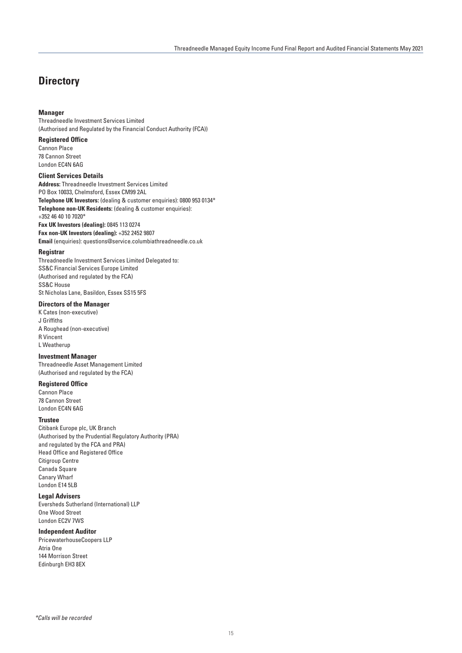# **Directory**

# **Manager**

Threadneedle Investment Services Limited (Authorised and Regulated by the Financial Conduct Authority (FCA))

# **Registered Office**

Cannon Place 78 Cannon Street London EC4N 6AG

# **Client Services Details**

**Address:** Threadneedle Investment Services Limited PO Box 10033, Chelmsford, Essex CM99 2AL **Telephone UK Investors:** (dealing & customer enquiries): 0800 953 0134\* **Telephone non-UK Residents:** (dealing & customer enquiries): +352 46 40 10 7020\* **Fax UK Investors (dealing):** 0845 113 0274

**Fax non-UK Investors (dealing):** +352 2452 9807 **Email** (enquiries): questions@service.columbiathreadneedle.co.uk

# **Registrar**

Threadneedle Investment Services Limited Delegated to: SS&C Financial Services Europe Limited (Authorised and regulated by the FCA) SS&C House St Nicholas Lane, Basildon, Essex SS15 5FS

# **Directors of the Manager**

K Cates (non-executive) J Griffiths A Roughead (non-executive) R Vincent L Weatherup

# **Investment Manager**

Threadneedle Asset Management Limited (Authorised and regulated by the FCA)

# **Registered Office**

Cannon Place 78 Cannon Street London EC4N 6AG

# **Trustee**

Citibank Europe plc, UK Branch (Authorised by the Prudential Regulatory Authority (PRA) and regulated by the FCA and PRA) Head Office and Registered Office Citigroup Centre Canada Square Canary Wharf London E14 5LB

# **Legal Advisers**

Eversheds Sutherland (International) LLP One Wood Street London EC2V 7WS

# **Independent Auditor**

PricewaterhouseCoopers LLP Atria One 144 Morrison Street Edinburgh EH3 8EX